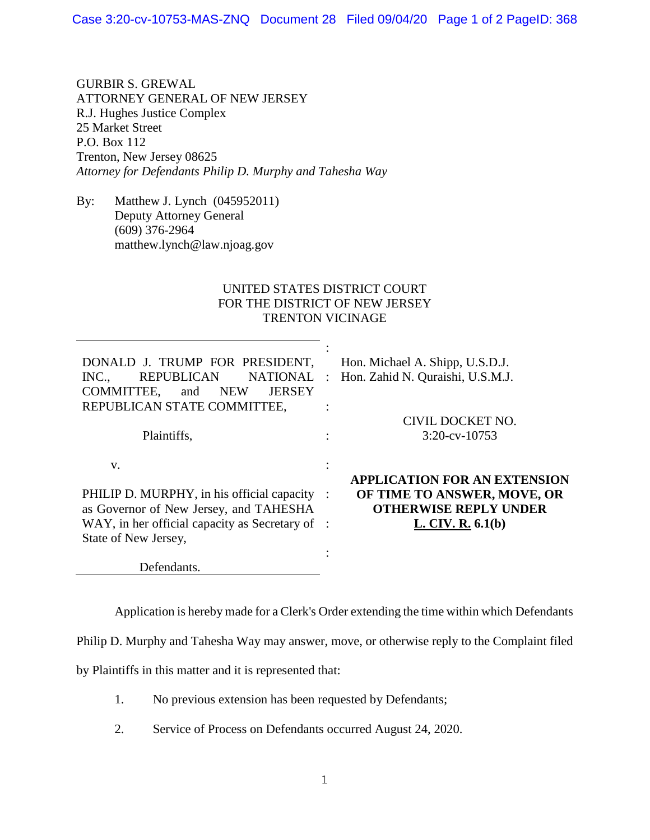GURBIR S. GREWAL ATTORNEY GENERAL OF NEW JERSEY R.J. Hughes Justice Complex 25 Market Street P.O. Box 112 Trenton, New Jersey 08625 *Attorney for Defendants Philip D. Murphy and Tahesha Way*

By: Matthew J. Lynch (045952011) Deputy Attorney General (609) 376-2964 matthew.lynch@law.njoag.gov

## UNITED STATES DISTRICT COURT FOR THE DISTRICT OF NEW JERSEY TRENTON VICINAGE

| DONALD J. TRUMP FOR PRESIDENT,<br><b>NATIONAL</b><br>INC<br><b>REPUBLICAN</b><br>COMMITTEE,<br><b>JERSEY</b><br><b>NEW</b><br>and<br>REPUBLICAN STATE COMMITTEE,<br>Plaintiffs, | Hon. Michael A. Shipp, U.S.D.J.<br>Hon. Zahid N. Quraishi, U.S.M.J.<br>$\ddot{\cdot}$<br>CIVIL DOCKET NO.<br>$3:20$ -cv- $10753$ |
|---------------------------------------------------------------------------------------------------------------------------------------------------------------------------------|----------------------------------------------------------------------------------------------------------------------------------|
| V.                                                                                                                                                                              | ٠                                                                                                                                |
| PHILIP D. MURPHY, in his official capacity                                                                                                                                      | <b>APPLICATION FOR AN EXTENSION</b>                                                                                              |
| as Governor of New Jersey, and TAHESHA                                                                                                                                          | OF TIME TO ANSWER, MOVE, OR                                                                                                      |
| WAY, in her official capacity as Secretary of :                                                                                                                                 | $\cdot$ :                                                                                                                        |
| State of New Jersey,                                                                                                                                                            | <b>OTHERWISE REPLY UNDER</b>                                                                                                     |
| Defendants                                                                                                                                                                      | L. CIV. R. $6.1(b)$                                                                                                              |

Application is hereby made for a Clerk's Order extending the time within which Defendants

Philip D. Murphy and Tahesha Way may answer, move, or otherwise reply to the Complaint filed

by Plaintiffs in this matter and it is represented that:

- 1. No previous extension has been requested by Defendants;
- 2. Service of Process on Defendants occurred August 24, 2020.